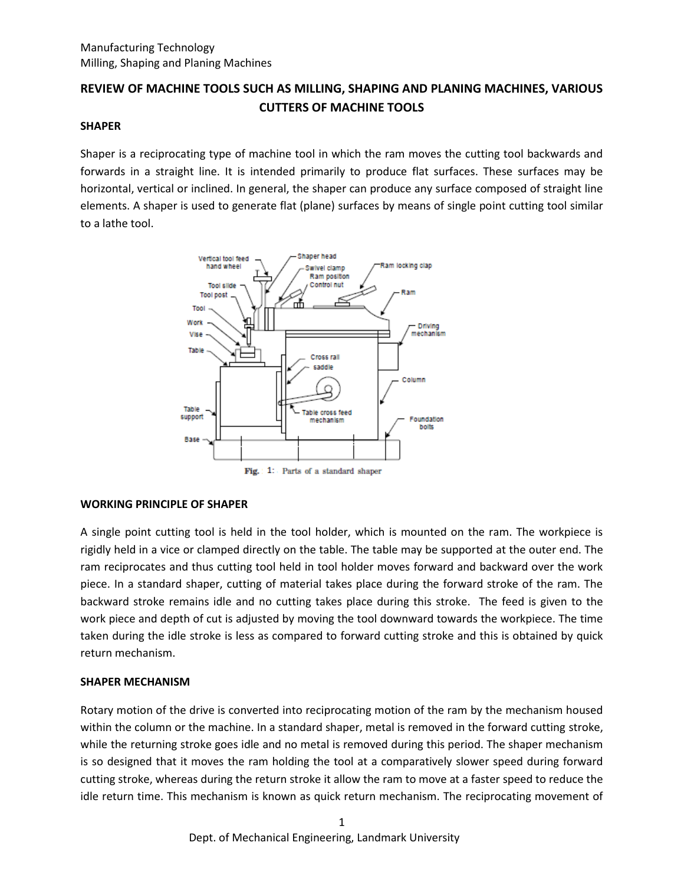# **REVIEW OF MACHINE TOOLS SUCH AS MILLING, SHAPING AND PLANING MACHINES, VARIOUS CUTTERS OF MACHINE TOOLS**

#### **SHAPER**

Shaper is a reciprocating type of machine tool in which the ram moves the cutting tool backwards and forwards in a straight line. It is intended primarily to produce flat surfaces. These surfaces may be horizontal, vertical or inclined. In general, the shaper can produce any surface composed of straight line elements. A shaper is used to generate flat (plane) surfaces by means of single point cutting tool similar to a lathe tool.



# **WORKING PRINCIPLE OF SHAPER**

A single point cutting tool is held in the tool holder, which is mounted on the ram. The workpiece is rigidly held in a vice or clamped directly on the table. The table may be supported at the outer end. The ram reciprocates and thus cutting tool held in tool holder moves forward and backward over the work piece. In a standard shaper, cutting of material takes place during the forward stroke of the ram. The backward stroke remains idle and no cutting takes place during this stroke. The feed is given to the work piece and depth of cut is adjusted by moving the tool downward towards the workpiece. The time taken during the idle stroke is less as compared to forward cutting stroke and this is obtained by quick return mechanism.

# **SHAPER MECHANISM**

Rotary motion of the drive is converted into reciprocating motion of the ram by the mechanism housed within the column or the machine. In a standard shaper, metal is removed in the forward cutting stroke, while the returning stroke goes idle and no metal is removed during this period. The shaper mechanism is so designed that it moves the ram holding the tool at a comparatively slower speed during forward cutting stroke, whereas during the return stroke it allow the ram to move at a faster speed to reduce the idle return time. This mechanism is known as quick return mechanism. The reciprocating movement of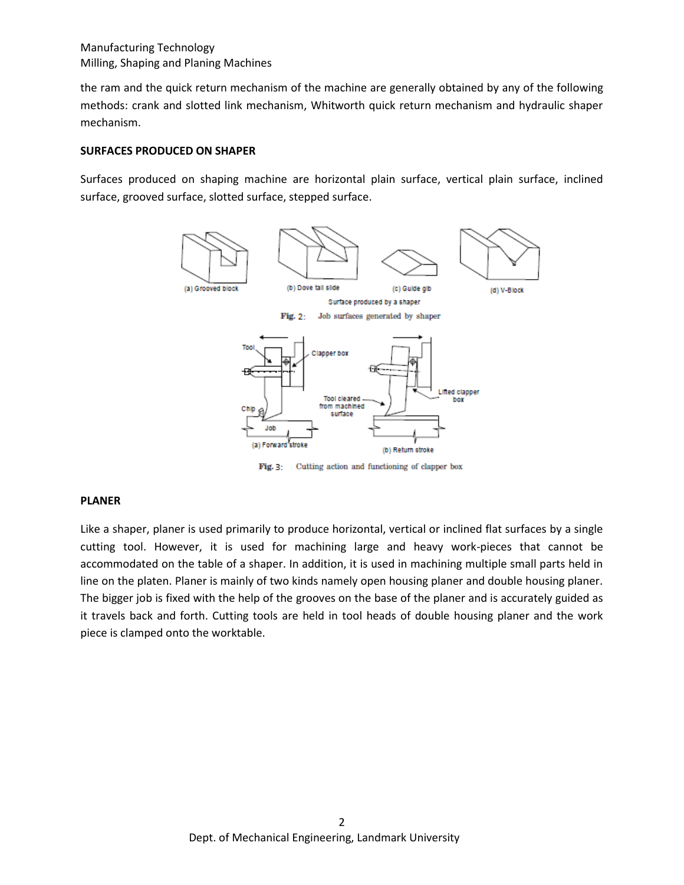the ram and the quick return mechanism of the machine are generally obtained by any of the following methods: crank and slotted link mechanism, Whitworth quick return mechanism and hydraulic shaper mechanism.

#### **SURFACES PRODUCED ON SHAPER**

Surfaces produced on shaping machine are horizontal plain surface, vertical plain surface, inclined surface, grooved surface, slotted surface, stepped surface.



Cutting action and functioning of clapper box Fig. 3:

#### **PLANER**

Like a shaper, planer is used primarily to produce horizontal, vertical or inclined flat surfaces by a single cutting tool. However, it is used for machining large and heavy work-pieces that cannot be accommodated on the table of a shaper. In addition, it is used in machining multiple small parts held in line on the platen. Planer is mainly of two kinds namely open housing planer and double housing planer. The bigger job is fixed with the help of the grooves on the base of the planer and is accurately guided as it travels back and forth. Cutting tools are held in tool heads of double housing planer and the work piece is clamped onto the worktable.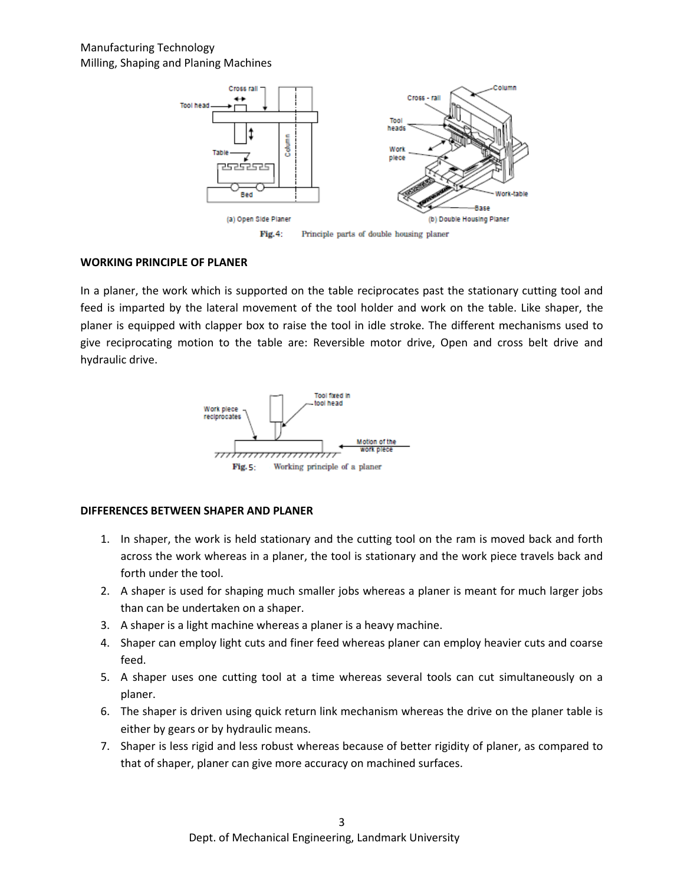

#### **WORKING PRINCIPLE OF PLANER**

In a planer, the work which is supported on the table reciprocates past the stationary cutting tool and feed is imparted by the lateral movement of the tool holder and work on the table. Like shaper, the planer is equipped with clapper box to raise the tool in idle stroke. The different mechanisms used to give reciprocating motion to the table are: Reversible motor drive, Open and cross belt drive and hydraulic drive.



#### **DIFFERENCES BETWEEN SHAPER AND PLANER**

- 1. In shaper, the work is held stationary and the cutting tool on the ram is moved back and forth across the work whereas in a planer, the tool is stationary and the work piece travels back and forth under the tool.
- 2. A shaper is used for shaping much smaller jobs whereas a planer is meant for much larger jobs than can be undertaken on a shaper.
- 3. A shaper is a light machine whereas a planer is a heavy machine.
- 4. Shaper can employ light cuts and finer feed whereas planer can employ heavier cuts and coarse feed.
- 5. A shaper uses one cutting tool at a time whereas several tools can cut simultaneously on a planer.
- 6. The shaper is driven using quick return link mechanism whereas the drive on the planer table is either by gears or by hydraulic means.
- 7. Shaper is less rigid and less robust whereas because of better rigidity of planer, as compared to that of shaper, planer can give more accuracy on machined surfaces.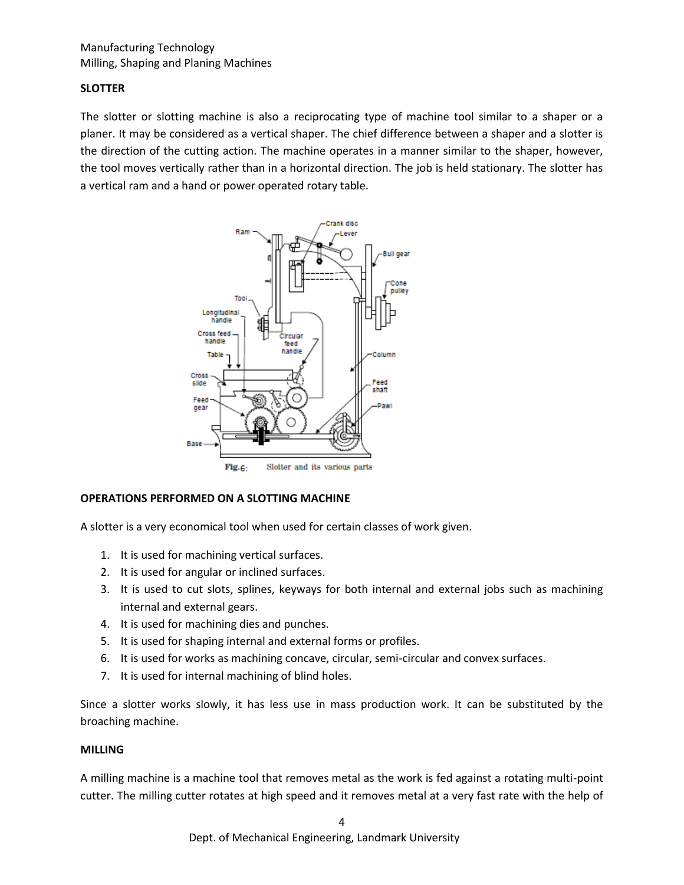# **SLOTTER**

The slotter or slotting machine is also a reciprocating type of machine tool similar to a shaper or a planer. It may be considered as a vertical shaper. The chief difference between a shaper and a slotter is the direction of the cutting action. The machine operates in a manner similar to the shaper, however, the tool moves vertically rather than in a horizontal direction. The job is held stationary. The slotter has a vertical ram and a hand or power operated rotary table.



# **OPERATIONS PERFORMED ON A SLOTTING MACHINE**

A slotter is a very economical tool when used for certain classes of work given.

- 1. It is used for machining vertical surfaces.
- 2. It is used for angular or inclined surfaces.
- 3. It is used to cut slots, splines, keyways for both internal and external jobs such as machining internal and external gears.
- 4. It is used for machining dies and punches.
- 5. It is used for shaping internal and external forms or profiles.
- 6. It is used for works as machining concave, circular, semi-circular and convex surfaces.
- 7. It is used for internal machining of blind holes.

Since a slotter works slowly, it has less use in mass production work. It can be substituted by the broaching machine.

# **MILLING**

A milling machine is a machine tool that removes metal as the work is fed against a rotating multi-point cutter. The milling cutter rotates at high speed and it removes metal at a very fast rate with the help of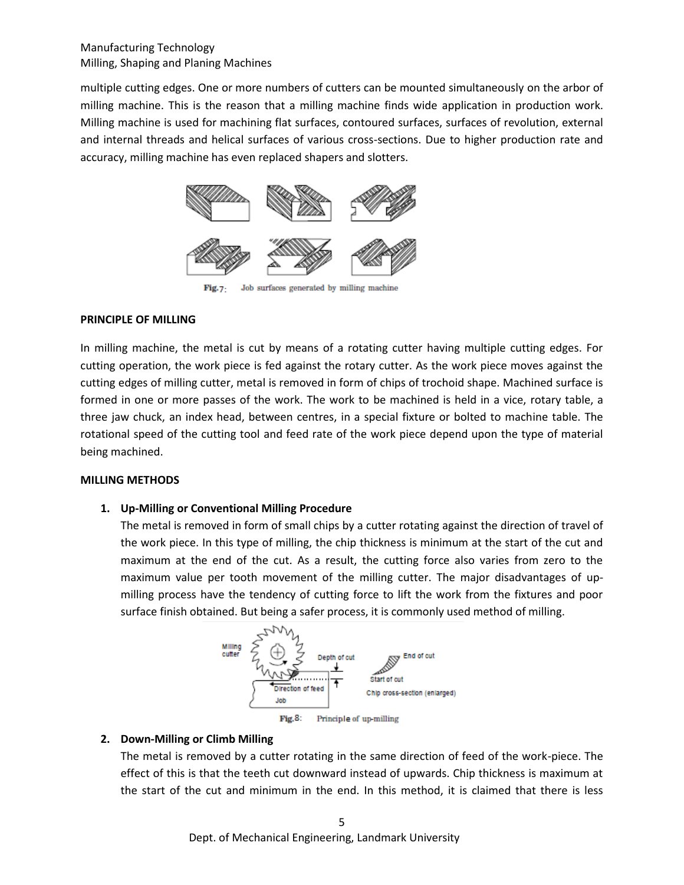multiple cutting edges. One or more numbers of cutters can be mounted simultaneously on the arbor of milling machine. This is the reason that a milling machine finds wide application in production work. Milling machine is used for machining flat surfaces, contoured surfaces, surfaces of revolution, external and internal threads and helical surfaces of various cross-sections. Due to higher production rate and accuracy, milling machine has even replaced shapers and slotters.



Fig.7: Job surfaces generated by milling machine

# **PRINCIPLE OF MILLING**

In milling machine, the metal is cut by means of a rotating cutter having multiple cutting edges. For cutting operation, the work piece is fed against the rotary cutter. As the work piece moves against the cutting edges of milling cutter, metal is removed in form of chips of trochoid shape. Machined surface is formed in one or more passes of the work. The work to be machined is held in a vice, rotary table, a three jaw chuck, an index head, between centres, in a special fixture or bolted to machine table. The rotational speed of the cutting tool and feed rate of the work piece depend upon the type of material being machined.

# **MILLING METHODS**

# **1. Up-Milling or Conventional Milling Procedure**

The metal is removed in form of small chips by a cutter rotating against the direction of travel of the work piece. In this type of milling, the chip thickness is minimum at the start of the cut and maximum at the end of the cut. As a result, the cutting force also varies from zero to the maximum value per tooth movement of the milling cutter. The major disadvantages of upmilling process have the tendency of cutting force to lift the work from the fixtures and poor surface finish obtained. But being a safer process, it is commonly used method of milling.



# **2. Down-Milling or Climb Milling**

The metal is removed by a cutter rotating in the same direction of feed of the work-piece. The effect of this is that the teeth cut downward instead of upwards. Chip thickness is maximum at the start of the cut and minimum in the end. In this method, it is claimed that there is less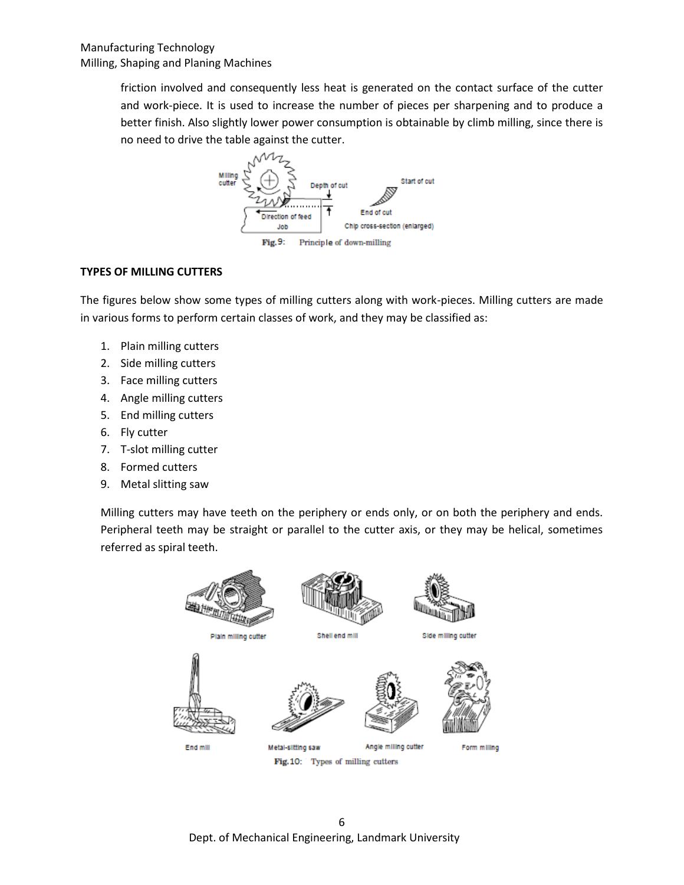friction involved and consequently less heat is generated on the contact surface of the cutter and work-piece. It is used to increase the number of pieces per sharpening and to produce a better finish. Also slightly lower power consumption is obtainable by climb milling, since there is no need to drive the table against the cutter.



# **TYPES OF MILLING CUTTERS**

The figures below show some types of milling cutters along with work-pieces. Milling cutters are made in various forms to perform certain classes of work, and they may be classified as:

- 1. Plain milling cutters
- 2. Side milling cutters
- 3. Face milling cutters
- 4. Angle milling cutters
- 5. End milling cutters
- 6. Fly cutter
- 7. T-slot milling cutter
- 8. Formed cutters
- 9. Metal slitting saw

Milling cutters may have teeth on the periphery or ends only, or on both the periphery and ends. Peripheral teeth may be straight or parallel to the cutter axis, or they may be helical, sometimes referred as spiral teeth.

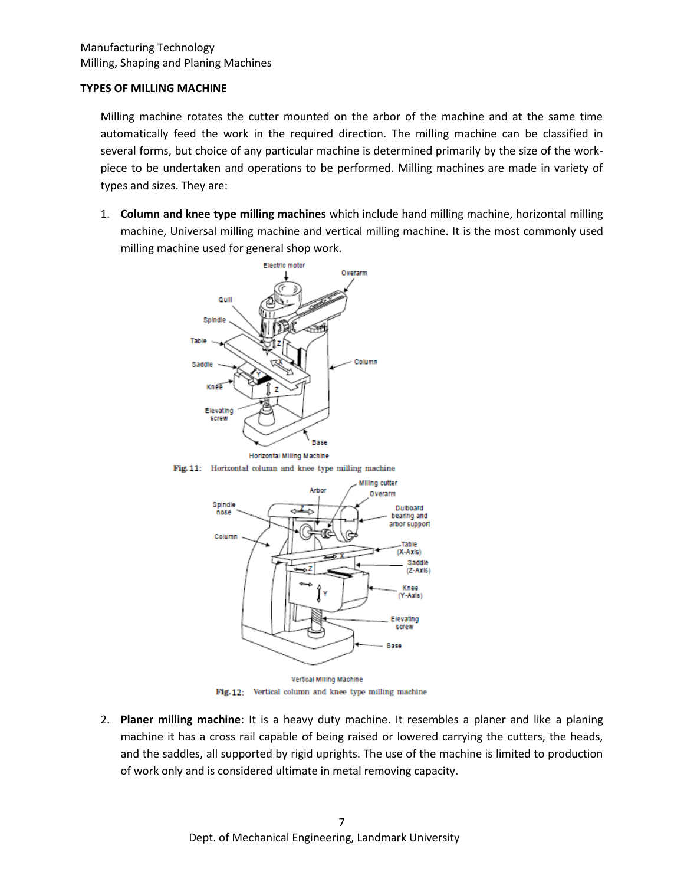#### **TYPES OF MILLING MACHINE**

Milling machine rotates the cutter mounted on the arbor of the machine and at the same time automatically feed the work in the required direction. The milling machine can be classified in several forms, but choice of any particular machine is determined primarily by the size of the workpiece to be undertaken and operations to be performed. Milling machines are made in variety of types and sizes. They are:

1. **Column and knee type milling machines** which include hand milling machine, horizontal milling machine, Universal milling machine and vertical milling machine. It is the most commonly used milling machine used for general shop work.



Fig. 11: Horizontal column and knee type milling machine



Fig.12: Vertical column and knee type milling machine

2. **Planer milling machine**: It is a heavy duty machine. It resembles a planer and like a planing machine it has a cross rail capable of being raised or lowered carrying the cutters, the heads, and the saddles, all supported by rigid uprights. The use of the machine is limited to production of work only and is considered ultimate in metal removing capacity.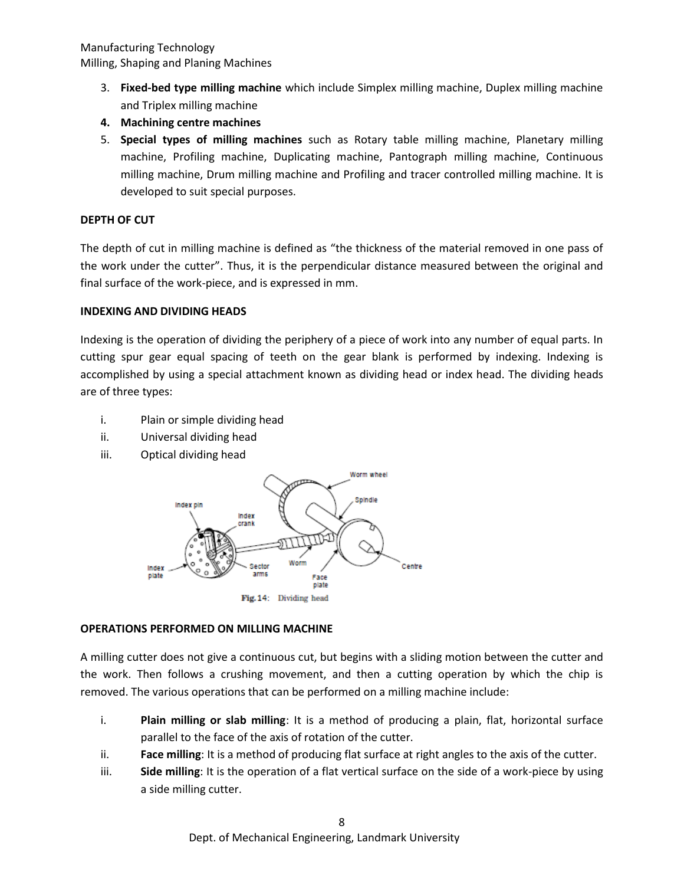- 3. **Fixed-bed type milling machine** which include Simplex milling machine, Duplex milling machine and Triplex milling machine
- **4. Machining centre machines**
- 5. **Special types of milling machines** such as Rotary table milling machine, Planetary milling machine, Profiling machine, Duplicating machine, Pantograph milling machine, Continuous milling machine, Drum milling machine and Profiling and tracer controlled milling machine. It is developed to suit special purposes.

# **DEPTH OF CUT**

The depth of cut in milling machine is defined as "the thickness of the material removed in one pass of the work under the cutter". Thus, it is the perpendicular distance measured between the original and final surface of the work-piece, and is expressed in mm.

# **INDEXING AND DIVIDING HEADS**

Indexing is the operation of dividing the periphery of a piece of work into any number of equal parts. In cutting spur gear equal spacing of teeth on the gear blank is performed by indexing. Indexing is accomplished by using a special attachment known as dividing head or index head. The dividing heads are of three types:

- i. Plain or simple dividing head
- ii. Universal dividing head
- iii. Optical dividing head



# **OPERATIONS PERFORMED ON MILLING MACHINE**

A milling cutter does not give a continuous cut, but begins with a sliding motion between the cutter and the work. Then follows a crushing movement, and then a cutting operation by which the chip is removed. The various operations that can be performed on a milling machine include:

- i. **Plain milling or slab milling**: It is a method of producing a plain, flat, horizontal surface parallel to the face of the axis of rotation of the cutter.
- ii. **Face milling**: It is a method of producing flat surface at right angles to the axis of the cutter.
- iii. **Side milling**: It is the operation of a flat vertical surface on the side of a work-piece by using a side milling cutter.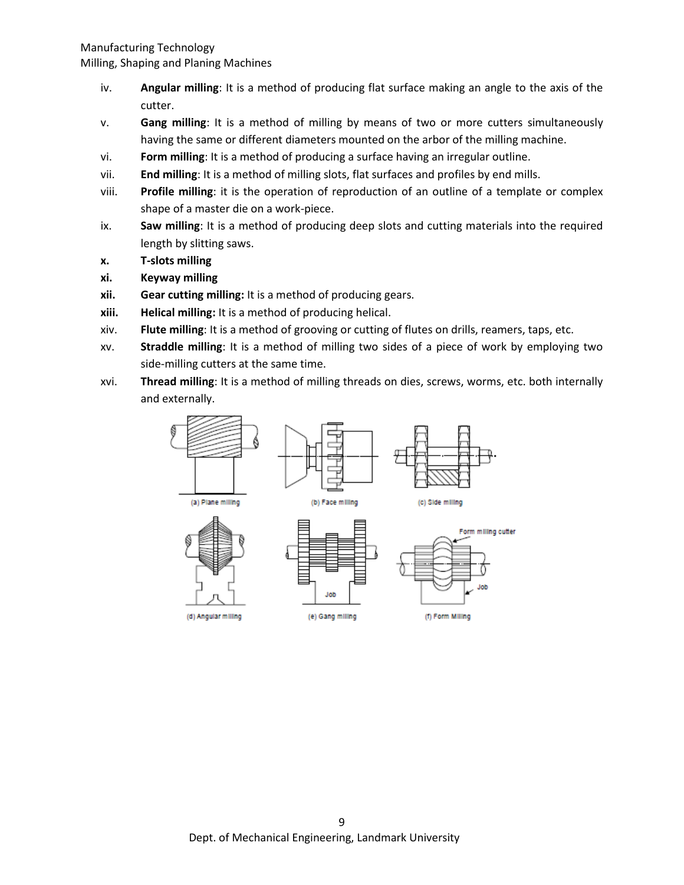- iv. **Angular milling**: It is a method of producing flat surface making an angle to the axis of the cutter.
- v. **Gang milling**: It is a method of milling by means of two or more cutters simultaneously having the same or different diameters mounted on the arbor of the milling machine.
- vi. **Form milling**: It is a method of producing a surface having an irregular outline.
- vii. **End milling**: It is a method of milling slots, flat surfaces and profiles by end mills.
- viii. **Profile milling**: it is the operation of reproduction of an outline of a template or complex shape of a master die on a work-piece.
- ix. **Saw milling**: It is a method of producing deep slots and cutting materials into the required length by slitting saws.
- **x. T-slots milling**
- **xi. Keyway milling**
- **xii. Gear cutting milling:** It is a method of producing gears.
- **xiii. Helical milling:** It is a method of producing helical.
- xiv. **Flute milling**: It is a method of grooving or cutting of flutes on drills, reamers, taps, etc.
- xv. **Straddle milling**: It is a method of milling two sides of a piece of work by employing two side-milling cutters at the same time.
- xvi. **Thread milling**: It is a method of milling threads on dies, screws, worms, etc. both internally and externally.